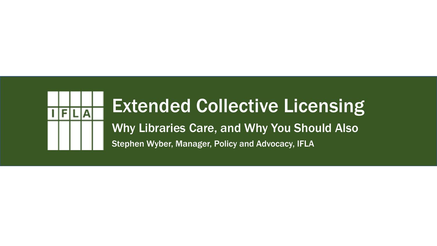

#### Extended Collective Licensing

Why Libraries Care, and Why You Should Also Stephen Wyber, Manager, Policy and Advocacy, IFLA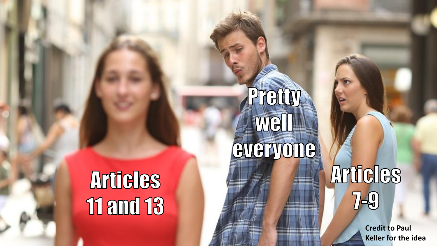### **Articles 11 and 13**

## Pretty Well **EVERYONG**

### Articles  $7 - 9$

**Credit to Paul Keller for the idea**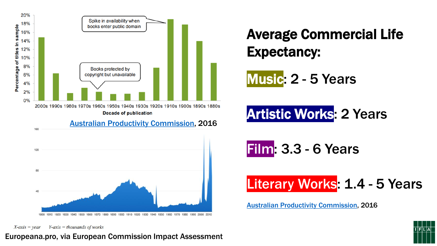

Average Commercial Life Expectancy:

Music: 2 - 5 Years

Artistic Works: 2 Years

Film: 3.3 - 6 Years

Literary Works: 1.4 - 5 Years

[Australian Productivity Commission,](https://www.pc.gov.au/inquiries/completed/intellectual-property/report) 2016

 $X$ -axis = year  $Y$ -axis = thousands of works

#### Europeana.pro, via European Commission Impact Assessment

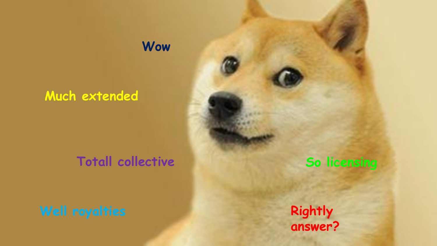#### **Much extended**

#### Totall collective **So licensing**

**Wow**

**Rightly answer?**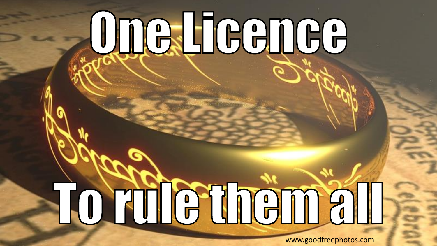# **ONGJIGGNGG**

Tortilethëmall

www.goodfreephotos.com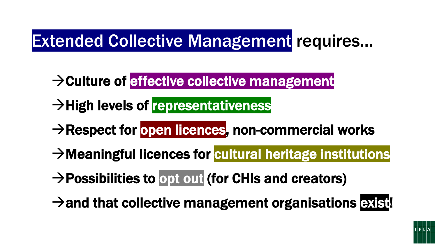#### Extended Collective Management requires…

- →Culture of effective collective management
- **→High levels of representativeness**
- → Respect for open licences, non-commercial works
- → Meaningful licences for cultural heritage institutions
- $\rightarrow$  Possibilities to opt out (for CHIs and creators)
- $\rightarrow$  and that collective management organisations exist!

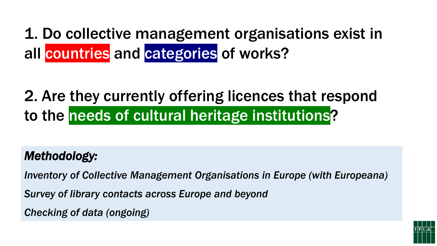1. Do collective management organisations exist in all countries and categories of works?

#### 2. Are they currently offering licences that respond to the needs of cultural heritage institutions?

*Methodology:*

*Inventory of Collective Management Organisations in Europe (with Europeana)*

*Survey of library contacts across Europe and beyond*

*Checking of data (ongoing)*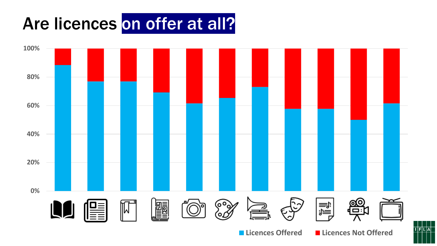#### Are licences on offer at all?



**Licences Offered Licences Not Offered**

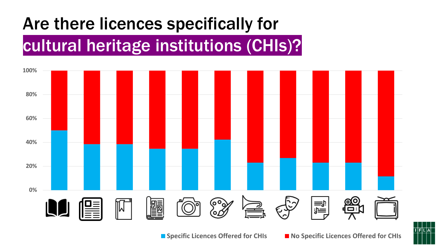#### Are there licences specifically for

#### cultural heritage institutions (CHIs)?



**TFLA**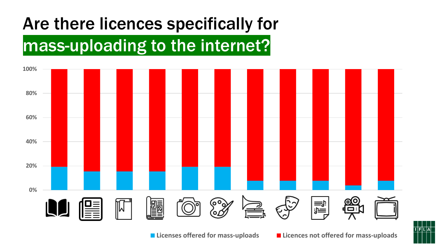#### Are there licences specifically for

#### mass-uploading to the internet?



 $I$  $F$  $L$  $A$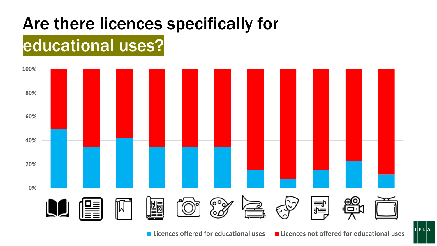#### Are there licences specifically for

#### educational uses?



 $|I|F|L|A|$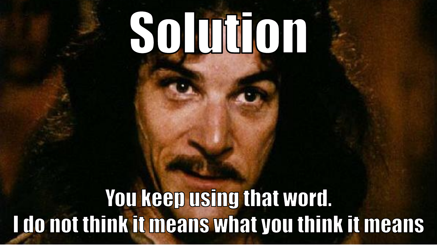## SOMMON

#### You keep using that word. I do not think it means what you think it means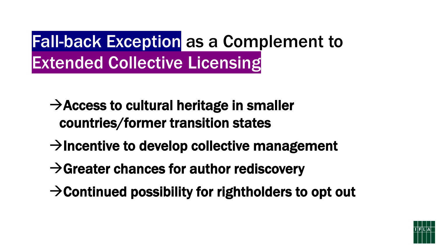#### Fall-back Exception as a Complement to Extended Collective Licensing

- $\rightarrow$  Access to cultural heritage in smaller countries/former transition states
- $\rightarrow$ Incentive to develop collective management
- $\rightarrow$  Greater chances for author rediscovery
- $\rightarrow$  Continued possibility for rightholders to opt out

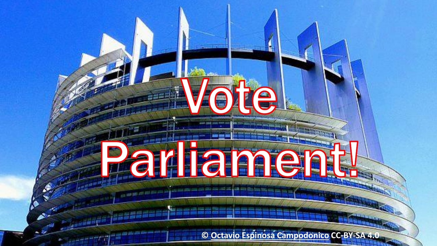